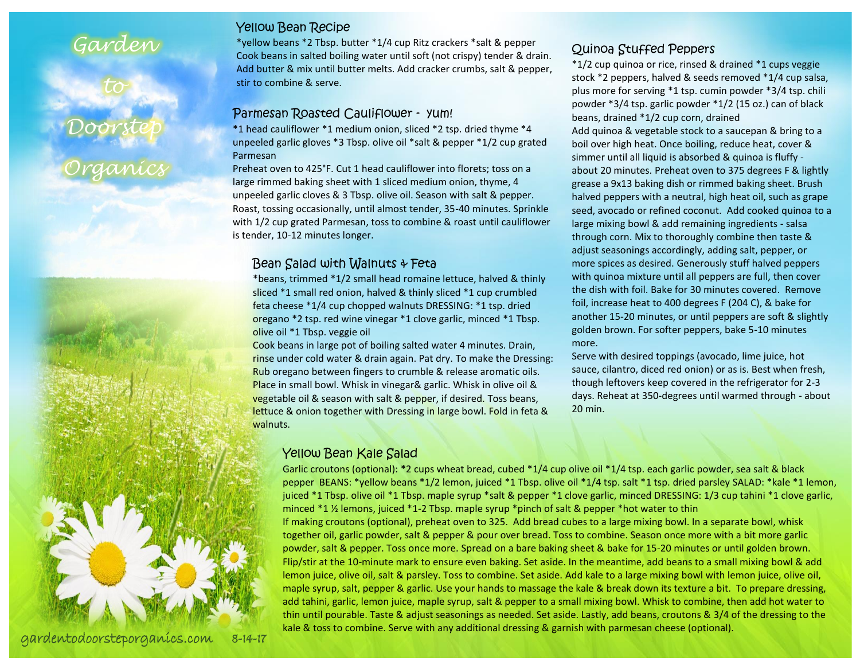### Garden

#### Yellow Bean Recipe

\*yellow beans \*2 Tbsp. butter \*1/4 cup Ritz crackers \*salt & pepper Cook beans in salted boiling water until soft (not crispy) tender & drain. Add butter & mix until butter melts. Add cracker crumbs, salt & pepper, stir to combine & serve.

#### Parmesan Roasted Cauliflower - yum!

\*1 head cauliflower \*1 medium onion, sliced \*2 tsp. dried thyme \*4 unpeeled garlic gloves \*3 Tbsp. olive oil \*salt & pepper \*1/2 cup grated Parmesan

Preheat oven to 425°F. Cut 1 head cauliflower into florets; toss on a large rimmed baking sheet with 1 sliced medium onion, thyme, 4 unpeeled garlic cloves & 3 Tbsp. olive oil. Season with salt & pepper. Roast, tossing occasionally, until almost tender, 35-40 minutes. Sprinkle with 1/2 cup grated Parmesan, toss to combine & roast until cauliflower is tender, 10-12 minutes longer.

#### Bean Salad with Walnuts & Feta

\*beans, trimmed \*1/2 small head romaine lettuce, halved & thinly sliced \*1 small red onion, halved & thinly sliced \*1 cup crumbled feta cheese \*1/4 cup chopped walnuts DRESSING: \*1 tsp. dried oregano \*2 tsp. red wine vinegar \*1 clove garlic, minced \*1 Tbsp. olive oil \*1 Tbsp. veggie oil

Cook beans in large pot of boiling salted water 4 minutes. Drain, rinse under cold water & drain again. Pat dry. To make the Dressing: Rub oregano between fingers to crumble & release aromatic oils. Place in small bowl. Whisk in vinegar& garlic. Whisk in olive oil & vegetable oil & season with salt & pepper, if desired. Toss beans, lettuce & onion together with Dressing in large bowl. Fold in feta & walnuts.

#### Yellow Bean Kale Salad

Garlic croutons (optional): \*2 cups wheat bread, cubed \*1/4 cup olive oil \*1/4 tsp. each garlic powder, sea salt & black pepper BEANS: \*yellow beans \*1/2 lemon, juiced \*1 Tbsp. olive oil \*1/4 tsp. salt \*1 tsp. dried parsley SALAD: \*kale \*1 lemon, juiced \*1 Tbsp. olive oil \*1 Tbsp. maple syrup \*salt & pepper \*1 clove garlic, minced DRESSING: 1/3 cup tahini \*1 clove garlic, minced \*1 ½ lemons, juiced \*1-2 Tbsp. maple syrup \*pinch of salt & pepper \*hot water to thin If making croutons (optional), preheat oven to 325. Add bread cubes to a large mixing bowl. In a separate bowl, whisk together oil, garlic powder, salt & pepper & pour over bread. Toss to combine. Season once more with a bit more garlic powder, salt & pepper. Toss once more. Spread on a bare baking sheet & bake for 15-20 minutes or until golden brown. Flip/stir at the 10-minute mark to ensure even baking. Set aside. In the meantime, add beans to a small mixing bowl & add lemon juice, olive oil, salt & parsley. Toss to combine. Set aside. Add kale to a large mixing bowl with lemon juice, olive oil, maple syrup, salt, pepper & garlic. Use your hands to massage the kale & break down its texture a bit. To prepare dressing, add tahini, garlic, lemon juice, maple syrup, salt & pepper to a small mixing bowl. Whisk to combine, then add hot water to thin until pourable. Taste & adjust seasonings as needed. Set aside. Lastly, add beans, croutons & 3/4 of the dressing to the kale & toss to combine. Serve with any additional dressing & garnish with parmesan cheese (optional).

#### Quinoa Stuffed Peppers

\*1/2 cup quinoa or rice, rinsed & drained \*1 cups veggie stock \*2 peppers, halved & seeds removed \*1/4 cup salsa, plus more for serving \*1 tsp. cumin powder \*3/4 tsp. chili powder \*3/4 tsp. garlic powder \*1/2 (15 oz.) can of black beans, drained \*1/2 cup corn, drained Add quinoa & vegetable stock to a saucepan & bring to a boil over high heat. Once boiling, reduce heat, cover & simmer until all liquid is absorbed & quinoa is fluffy about 20 minutes. Preheat oven to 375 degrees F & lightly grease a 9x13 baking dish or rimmed baking sheet. Brush halved peppers with a neutral, high heat oil, such as grape seed, avocado or refined coconut. Add cooked quinoa to a large mixing bowl & add remaining ingredients - salsa through corn. Mix to thoroughly combine then taste & adjust seasonings accordingly, adding salt, pepper, or more spices as desired. Generously stuff halved peppers with quinoa mixture until all peppers are full, then cover the dish with foil. Bake for 30 minutes covered. Remove foil, increase heat to 400 degrees F (204 C), & bake for another 15-20 minutes, or until peppers are soft & slightly golden brown. For softer peppers, bake 5-10 minutes more.

Serve with desired toppings (avocado, lime juice, hot sauce, cilantro, diced red onion) or as is. Best when fresh, though leftovers keep covered in the refrigerator for 2-3 days. Reheat at 350-degrees until warmed through - about 20 min.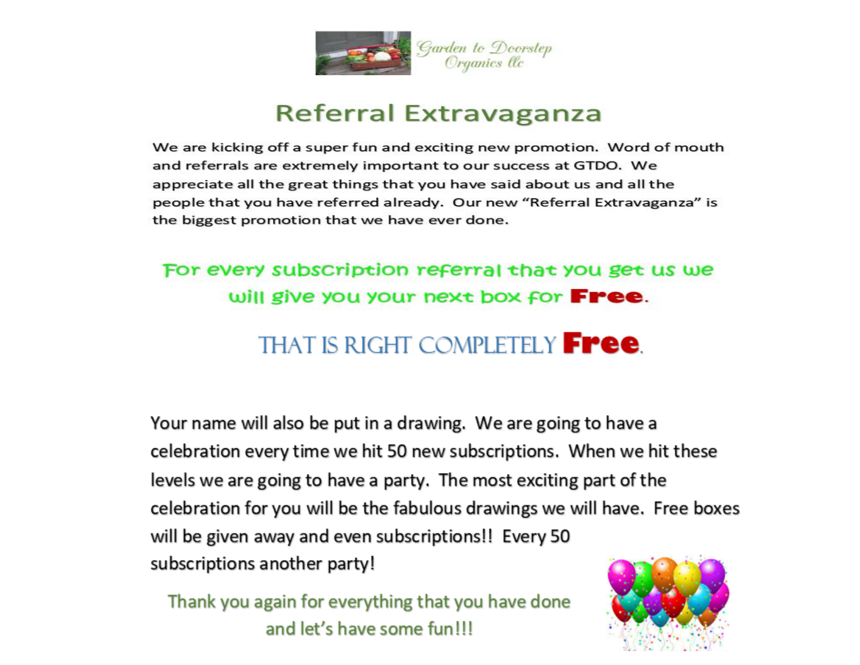

## Referral Extravaganza

We are kicking off a super fun and exciting new promotion. Word of mouth and referrals are extremely important to our success at GTDO. We appreciate all the great things that you have said about us and all the people that you have referred already. Our new "Referral Extravaganza" is the biggest promotion that we have ever done.

### For every subscription referral that you get us we will give you your next box for **Free**.

# **THAT IS RIGHT COMPLETELY FREE.**

Your name will also be put in a drawing. We are going to have a celebration every time we hit 50 new subscriptions. When we hit these levels we are going to have a party. The most exciting part of the celebration for you will be the fabulous drawings we will have. Free boxes will be given away and even subscriptions!! Every 50 subscriptions another party!

Thank you again for everything that you have done and let's have some fun!!!